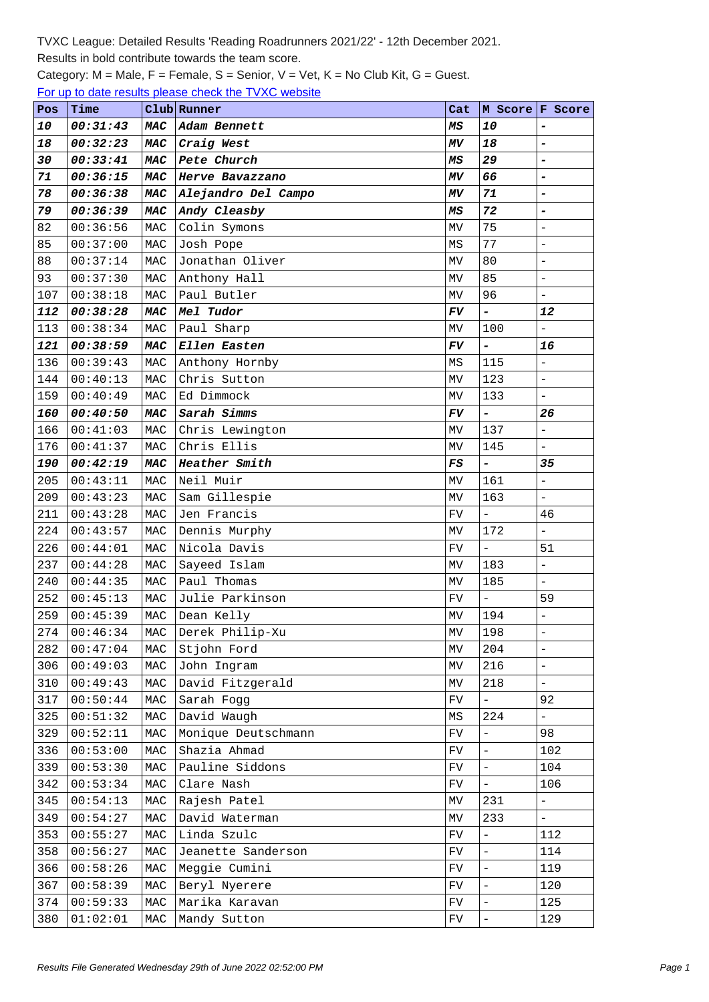## Results in bold contribute towards the team score.

Category: M = Male, F = Female, S = Senior, V = Vet, K = No Club Kit, G = Guest.

For up to date results please check the TVXC website

| Pos | Time     |                | Club Runner         | Cat                             |                          | M Score F Score          |
|-----|----------|----------------|---------------------|---------------------------------|--------------------------|--------------------------|
| 10  | 00:31:43 | <b>MAC</b>     | Adam Bennett        | MS                              | 10                       | $\overline{a}$           |
| 18  | 00:32:23 | <b>MAC</b>     | Craig West          | ΜV                              | 18                       | $\overline{a}$           |
| 30  | 00:33:41 | <b>MAC</b>     | Pete Church         | МS                              | 29                       | $\overline{\phantom{a}}$ |
| 71  | 00:36:15 | <b>MAC</b>     | Herve Bavazzano     | ΜV                              | 66                       | $\overline{a}$           |
| 78  | 00:36:38 | <b>MAC</b>     | Alejandro Del Campo | ΜV                              | 71                       | $\overline{a}$           |
| 79  | 00:36:39 | <b>MAC</b>     | Andy Cleasby        | MS                              | 72                       | $\overline{a}$           |
| 82  | 00:36:56 | MAC            | Colin Symons        | MV                              | 75                       | $\equiv$                 |
| 85  | 00:37:00 | MAC            | Josh Pope           | ΜS                              | 77                       | $\overline{a}$           |
| 88  | 00:37:14 | MAC            | Jonathan Oliver     | MV                              | 80                       | $\overline{\phantom{0}}$ |
| 93  | 00:37:30 | MAC            | Anthony Hall        | MV                              | 85                       | $\overline{a}$           |
| 107 | 00:38:18 | MAC            | Paul Butler         | МV                              | 96                       | $\frac{1}{2}$            |
| 112 | 00:38:28 | MAC            | Mel Tudor           | $F\!V$                          | $\overline{a}$           | 12                       |
| 113 | 00:38:34 | MAC            | Paul Sharp          | MV.                             | 100                      | $\overline{\phantom{0}}$ |
| 121 | 00:38:59 | <b>MAC</b>     | Ellen Easten        | FV                              | -                        | 16                       |
| 136 | 00:39:43 | MAC            | Anthony Hornby      | MS                              | 115                      | $\frac{1}{2}$            |
| 144 | 00:40:13 | MAC            | Chris Sutton        | MV                              | 123                      | $\equiv$                 |
| 159 | 00:40:49 | MAC            | Ed Dimmock          | MV                              | 133                      | $\frac{1}{2}$            |
| 160 | 00:40:50 | <b>MAC</b>     | Sarah Simms         | FV                              | $\overline{\phantom{0}}$ | 26                       |
| 166 | 00:41:03 | MAC            | Chris Lewington     | МV                              | 137                      | $\overline{\phantom{0}}$ |
| 176 | 00:41:37 | MAC            | Chris Ellis         | MV                              | 145                      | $\equiv$                 |
| 190 | 00:42:19 | <b>MAC</b>     | Heather Smith       | $_{\it FS}$                     | $\overline{a}$           | 35                       |
| 205 | 00:43:11 | MAC            | Neil Muir           | МV                              | 161                      | $\overline{\phantom{0}}$ |
| 209 | 00:43:23 | $\mathtt{MAC}$ | Sam Gillespie       | MV                              | 163                      | $\frac{1}{2}$            |
| 211 | 00:43:28 | MAC            | Jen Francis         | FV                              | $\overline{a}$           | 46                       |
| 224 | 00:43:57 | MAC            | Dennis Murphy       | MV                              | 172                      | $\overline{\phantom{a}}$ |
| 226 | 00:44:01 | MAC            | Nicola Davis        | FV                              | $\overline{a}$           | 51                       |
| 237 | 00:44:28 | MAC            | Sayeed Islam        | МV                              | 183                      | $\overline{\phantom{0}}$ |
| 240 | 00:44:35 | MAC            | Paul Thomas         | MV                              | 185                      | $\frac{1}{2}$            |
| 252 | 00:45:13 | MAC            | Julie Parkinson     | FV                              | $\frac{1}{2}$            | 59                       |
| 259 | 00:45:39 | MAC            | Dean Kelly          | MV                              | 194                      | $\bar{\phantom{a}}$      |
| 274 | 00:46:34 | $\mathtt{MAC}$ | Derek Philip-Xu     | $\ensuremath{\text{MV}}\xspace$ | 198                      | $\overline{a}$           |
| 282 | 00:47:04 | MAC            | Stjohn Ford         | МV                              | 204                      | $\qquad \qquad -$        |
| 306 | 00:49:03 | MAC            | John Ingram         | MV                              | 216                      | $\equiv$                 |
| 310 | 00:49:43 | $\mathtt{MAC}$ | David Fitzgerald    | MV                              | 218                      | $\frac{1}{2}$            |
| 317 | 00:50:44 | $\mathtt{MAC}$ | Sarah Fogg          | FV                              | $\overline{\phantom{0}}$ | 92                       |
| 325 | 00:51:32 | MAC            | David Waugh         | ΜS                              | 224                      | $\equiv$                 |
| 329 | 00:52:11 | MAC            | Monique Deutschmann | FV                              | $\overline{a}$           | 98                       |
| 336 | 00:53:00 | MAC            | Shazia Ahmad        | FV                              | $\overline{\phantom{0}}$ | 102                      |
| 339 | 00:53:30 | MAC            | Pauline Siddons     | FV                              | $\overline{a}$           | 104                      |
| 342 | 00:53:34 | MAC            | Clare Nash          | FV                              | $\bar{\phantom{a}}$      | 106                      |
| 345 | 00:54:13 | $\mathtt{MAC}$ | Rajesh Patel        | ΜV                              | 231                      | $\qquad \qquad -$        |
| 349 | 00:54:27 | MAC            | David Waterman      | MV                              | 233                      | $\bar{\mathcal{L}}$      |
| 353 | 00:55:27 | $\mathtt{MAC}$ | Linda Szulc         | FV                              | $\overline{\phantom{0}}$ | 112                      |
| 358 | 00:56:27 | MAC            | Jeanette Sanderson  | FV                              | $\overline{\phantom{0}}$ | 114                      |
| 366 | 00:58:26 | $\mathtt{MAC}$ | Meggie Cumini       | FV                              | $\overline{\phantom{0}}$ | 119                      |
| 367 | 00:58:39 | MAC            | Beryl Nyerere       | FV                              | $\overline{a}$           | 120                      |
| 374 | 00:59:33 | MAC            | Marika Karavan      | ${\rm FV}$                      | $\overline{\phantom{0}}$ | 125                      |
| 380 | 01:02:01 | $\mathtt{MAC}$ | Mandy Sutton        | ${\rm FV}$                      | $\frac{1}{2}$            | 129                      |